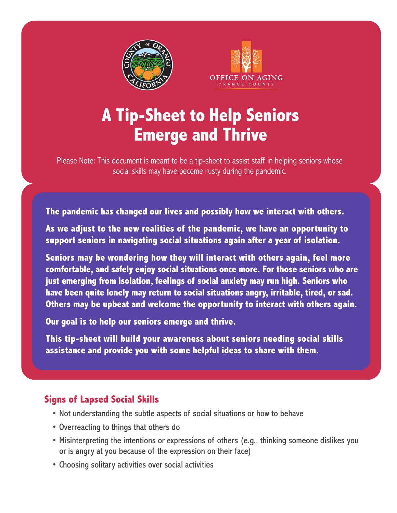



## **A Tip-Sheet to Help Seniors Emerge and Thrive**

Please Note: This document is meant to be a tip-sheet to assist staff in helping seniors whose social skills may have become rusty during the pandemic.

**The pandemic has changed our lives and possibly how we interact with others.**

**As we adjust to the new realities of the pandemic, we have an opportunity to support seniors in navigating social situations again after a year of isolation.** 

**Seniors may be wondering how they will interact with others again, feel more comfortable, and safely enjoy social situations once more. For those seniors who are just emerging from isolation, feelings of social anxiety may run high. Seniors who have been quite lonely may return to social situations angry, irritable, tired, or sad. Others may be upbeat and welcome the opportunity to interact with others again.** 

**Our goal is to help our seniors emerge and thrive.**

**This tip-sheet will build your awareness about seniors needing social skills assistance and provide you with some helpful ideas to share with them.** 

## **Signs of Lapsed Social Skills**

- Not understanding the subtle aspects of social situations or how to behave
- Overreacting to things that others do
- Misinterpreting the intentions or expressions of others (e.g., thinking someone dislikes you or is angry at you because of the expression on their face)
- Choosing solitary activities over social activities